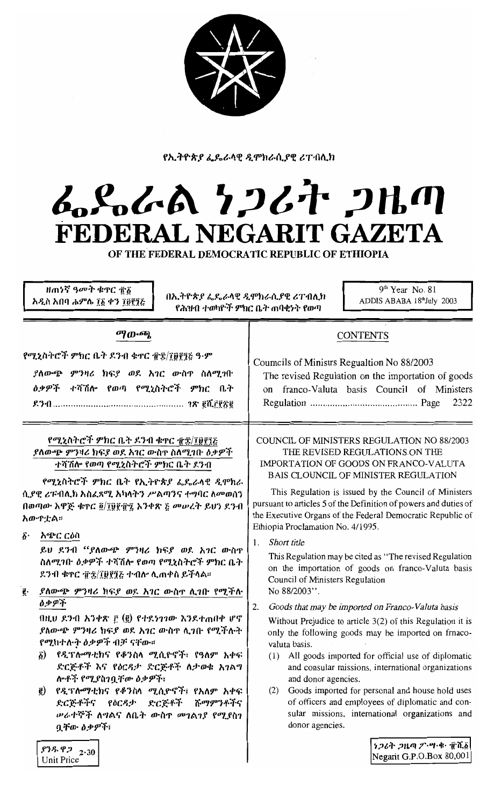

የኢትዮጵያ ፌዴራላዊ ዲሞክራሲያዊ ሪፐብሊክ

## んとんん ケンムナ コルの FEDERAL NEGARIT GAZETA

OF THE FEDERAL DEMOCRATIC REPUBLIC OF ETHIOPIA

 $9<sup>th</sup>$  Year No. 81 ዘጠነኛ ዓመት ቁዋር ዋδ በኢትዮጵያ ፌዴራላዊ ዲሞክራሲያዊ ሪፐብሊክ ADDIS ABABA 18thJuly 2003 አዲስ አበባ ሐምሌ ፲፩ ቀን ፲፱፻፺፩ የሕዝብ ተወካዮች ምክር ቤት ጠባቂነት የወጣ ማውጫ **CONTENTS** የሚኒስትሮች ምክር ቤት ዶንብ ቁጥር ፹፰/፲፱፻፺ሬ ዓ·ም Coumcils of Ministrs Regualtion No 88/2003 ያለውጭ ምንዛሪ ክፍያ ወደ አገር ውስዋ ስለሚገቡ The revised Regulation on the importation of goods *ዕቃዎች ተሻሽ*ሎ የወጣ የሚኒስትሮች ምክር ቤት on franco-Valuta basis Council of Ministers 2322 የሚኒስትሮች ምክር ቤት ደንብ ቁዋር ፹፰/፲፱፻፺ሬ COUNCIL OF MINISTERS REGULATION NO 88/2003 ያለውጭ ምንዛሪ ክፍያ ወደ አገር ውስዋ ስለሚገቡ ዕቃዎች THE REVISED REGULATIONS ON THE ተሻሽሎ የወጣ የሚኒስትሮች ምክር ቤት ደንብ IMPORTATION OF GOODS ON FRANCO-VALUTA **BAIS CLOUNCIL OF MINISTER REGULATION** የሚኒስትሮች ምክር ቤት የኢትዮጵያ ፌዴራላዊ ዲሞክራ This Regulation is issued by the Council of Ministers ሲያዊ ሪፑብሊክ አስፌጻሚ አካላትን ሥልጣንና ተግባር ለመወሰን pursuant to articles 5 of the Definition of powers and duties of በወጣው አዋጅ ቁጥር ፬/፲፱፻፹፯ አንቀጽ ፩ መሥረት ይህን ደንብ the Executive Organs of the Federal Democratic Republic of አውዮቷል። Ethiopia Proclamation No. 4/1995. δ· አጭር ርዕስ 1. Short title ይህ ደንብ "ያለውጭ ምንዛሪ ክፍያ ወደ አገር ውስዋ This Regulation may be cited as "The revised Regulation" ስለሚገቡ ዕቃዎች ተሻሽሎ የወጣ የሚኒስትሮች ምክር ቤት on the importation of goods on franco-Valuta basis ደንብ ቁዋር ፹ቌ/፲፱፻፺፩ ተብሎ ሊጠቀስ ይችላል። Council of Ministers Regulation ያለውጭ ምንዛሪ ክፍያ ወደ አገር ውስዋ ሲገቡ የሚችሉ No 88/2003". ą. ዕቃዎች 2. Goods that may be imported on Franco-Valuta basis በዚህ ደንብ አንቀጽ ፫ (፪) የተደነገገው እንደተጠበቀ ሆኖ Without Prejudice to article  $3(2)$  of this Regulation it is ያለውጭ ምንዛሪ ክፍያ ወደ አገር ውስዋ ሲገቡ የሚችሉት only the following goods may be imported on frnaco-የሚከተሉት ዕቃዎች ብቻ ናቸው። valuta basis. ፩) የዲፕሎማቲክና የቆንስላ ሚሲዮኖች፣ የዓለም አቀፍ (1) All goods imported for official use of diplomatic ድርጅቶች እና የዕርዳታ ድርጅቶች ለታወቁ አገልግ and consular missions, international organizations ሎቶች የሚያስገቧቸው ዕቃዎች፣ and donor agencies. ē) የዲፕሎማቲክና የቆንስላ ሚሲዮኖች፤ የአለም አቀፍ (2) Goods imported for personal and house hold uses of officers and employees of diplomatic and con-ድርጅቶችና የዕርዳታ ድርጅቶች ሹማምንቶችና sular missions, international organizations and ሥራተኞች ለግልና ለቤት ውስዋ መገልገያ የሚያስገ donor agencies. ቧቸው ዕቃዎች፣ *ነጋሪት ጋዜጣ ፖ*ንሣ•ቁ• ፹ሺ፩  $$75.92$   $2.30$ Negarit G.P.O.Box 80,001 Unit Price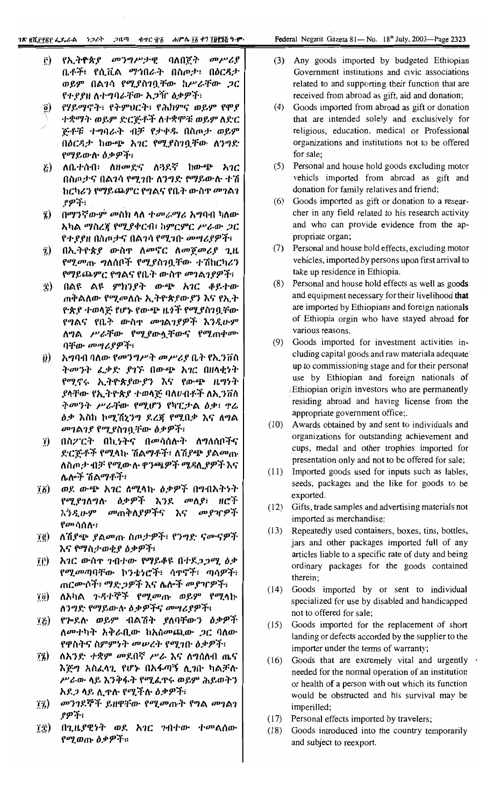- የኢትዮጵያ መንግሥታዊ ባለበጀት መሥሪያ Ê) ቤቶች፣ የሲቪል ማኅበራት በስጦታ፣ በዕርዳታ ወይም በልገሳ የሚያስገቧቸው ከሥራቸው ጋር የተያያዘ ለተግባራቸው አጋዥ ዕቃዎች፣
- የሃይማኖት፣ የትምህርት፣ የሕክምና ወይም የሞያ  $\hat{g}$ ተቋማት ወይም ድርጅቶች ለተቋሞቹ ወይም ለድር ጅቶቹ ተግባራት ብቻ የታቀዱ በስጦታ ወይም በዕርዳታ ከውጭ አገር የሚያስገቧቸው ለንግድ የማይውሱ ዕቃዎች፣
- ለቤተሰብ፣ ለዘመድና ለጓደኛ ከውጭ አገር  $\tilde{L}$ ) በስጦታና በልንሳ የሚንቡ ለንግድ የማይውሉ ተሽ ከርካሪን የማይጨምር የግልና የቤት ውስጥ መገልገ የዎች፣
- በማንኛውም መስክ ላለ *ተመራማሪ አግ*ባብ ካለው  $\hat{a}$ አካል ማስረጃ የሚያቀርብ፣ ከምርምር ሥራው ጋር የተያያዘ በስጦታና በልንሳ የሚንቡ *መግሪያዎች*፣
- በኢትዮጵያ ውስጥ ለመኖር ለመጀመሪያ ጊዜ  $\tilde{v}$ የሚመጡ ግለሰቦች የሚያስገቧቸው ተሽከርካሪን የማይጨምር የግልና የቤት ውስጥ መገልገያዎች፣
- ፰) በልዩ ልዩ ምክንያት ውጭ አገር ቆይተው ጠቅልለው የሚመለሱ ኢትዮጵያው*ያን* እና የኢት ዮጵያ ተወላጅ የሆኑ የውጭ ዜጎች የሚያስገቧቸው የግልና የቤት ውስ**ጥ መገልገ**ያዎች እንዲሁም **ለግል ሥራቸው የሚያውሏቸውና የሚጠቀሙ** ባቸው መሣሪያዎች፣
- *አግ*ባብ ባለው የመንግሥት መሥሪያ ቤት የኢንቨስ  $\vec{v})$ ትመንት ፈቃድ ያገኙ በውጭ አገር በዘላቂነት የሚኖሩ ኢትዮጵያውያን እና የውጭ ዜግነት ያላቸው የኢትዮጵያ ተወላጅ ባለሀብቶች ለኢንቨስ ትመንት ሥራቸው የሚሆን የካፒታል ዕቃ፣ ኖሬ *ዕቃ* እስከ ኮሚሽኒንግ ደረጃ የሚበቃ እና ለግል መገልገያ የሚያስገቧቸው ዕቃዎች፣
- $\hat{I}$ ) በስፖርት በኪነትና በመሳሰሉት ለግለሰቦችና ድርጅቶች የሚላኩ ሽልማቶች፣ ለሽያጭ *ያ*ልመጡ ለስጦታ ብቻ የሚውሉ ዋንጫዎች ሜዳሊያዎች እና ሌሎች ሽልማቶች፣
- *ወ*ደ ውጭ አ*ገ*ር ለሚላኩ *ዕቃዎች* በግብአትነት  $\vec{a}$ የሚያገለግሉ ዕቃዎች እንደ መለያ፣ ዘሮች *እንዲ*ሁም መጠቅለያዎችና እና መያዣዎች *የመሳ*ሰሉ።
- ለሽያጭ ያልመጡ ስጦታዎች፣ የንግድ ናሙናዎች  $\vec{B}$ እና የማስታወቂያ ዕቃዎች፣
- አገር ውስጥ ገብተው የማይቆዩ በተደጋጋሚ ዕቃ TË) *የሚመ*ጣባቸው ኮንቴነሮች፣ ሳ**ዋኖች፣ ጣሳዎ**ች፣ ጠርሙሶች፣ ማድጋዎች እና ሴሎች መያዣዎች፣
- ለአካል ጉዳተኞች የሚመጡ ወይም የሚሳኩ  $\vec{a}$ ለንግድ የማይውሉ ዕቃዎችና መሣሪያዎች፣
- የሎደሉ ወይም ብልሽት ያለባቸውን ዕቃዎች ΪË) *ለመተካት አቅራቢው ከአስመጪው ጋር ባለው* የዋስትና ስምምነት መሠረት የሚገቡ ዕቃዎች፣
- ለአንድ ተቋም መደበኛ ሥራ እና ለግሰለብ ጤና  $\mathbf{u}$ እጅግ አስፈላጊ የሆኑ በአፋጣኝ ሊገቡ ካልቻሉ ሥራው ላይ እንቅፋት የሚፈዋሩ ወይም ሕይወትን አደ*ጋ* ላይ ሲጥሉ የሚችሉ ዕቃዎች፣
- $\mathbf{1}\mathbf{\hat{2}}$ *መንገ*ደኞች ይዘዋቸው የሚመጡት የግል መገልገ ያዎች፣
- በጊዜያዊነት ወደ አገር ገብተው ተመልሰው ï£) የሚወጡ ዕቃዎች።
- (3) Any goods imported by budgeted Ethiopian Government institutions and civic associations related to and supporting their function that are received from abroad as gift, aid and donation;
- (4) Goods imported from abroad as gift or donation that are intended solely and exclusively for religious, education, medical or Professional organizations and institutions not to be offered for sale;
- (5) Personal and house hold goods excluding motor vehicls imported from abroad as gift and donation for family relatives and friend;
- (6) Goods imported as gift or donation to a researcher in any field related to his research activity and who can provide evidence from the appropriate organ;
- (7) Personal and house hold effects, excluding motor vehicles, imported by persons upon first arrival to take up residence in Ethiopia.
- (8) Personal and house hold effects as well as goods and equipment necessary for their livelihood that are imported by Ethiopians and foreign nationals of Ethiopia orgin who have stayed abroad for various reasons.
- (9) Goods imported for investment activities including capital goods and raw materiala adequate up to commissioning stage and for their personal use by Ethiopian and foreign nationals of Ethiopian origin investors who are permanently residing abroad and having license from the appropriate government office;.
- (10) Awards obtained by and sent to individuals and organizations for outstanding achievement and cups, medal and other trophies imported for presentation only and not to be offered for sale;
- Imported goods used for inputs such as lables,  $(11)$ seeds, packages and the like for goods to be exported.
- $(12)$ Gifts, trade samples and advertising materials not imported as merchandise;
- Repeatedly used containers, boxes, tins, bottles,  $(13)$ jars and other packages imported full of any articles liable to a specific rate of duty and being ordinary packages for the goods contained therein;
- $(14)$ Goods imported by or sent to individual specialized for use by disabled and handicapped not to offered for sale;
- Goods imported for the replacement of short  $(15)$ landing or defects accorded by the supplier to the importer under the terms of warranty;
- Goods that are extremely vital and urgently .  $(16)$ needed for the normal operation of an institution or health of a person with out which its function would be obstructed and his survival may be imperilled;
- $(17)$ Personal effects imported by travelers;
- $(18)$ Goods introduced into the country temporarily and subject to reexport.